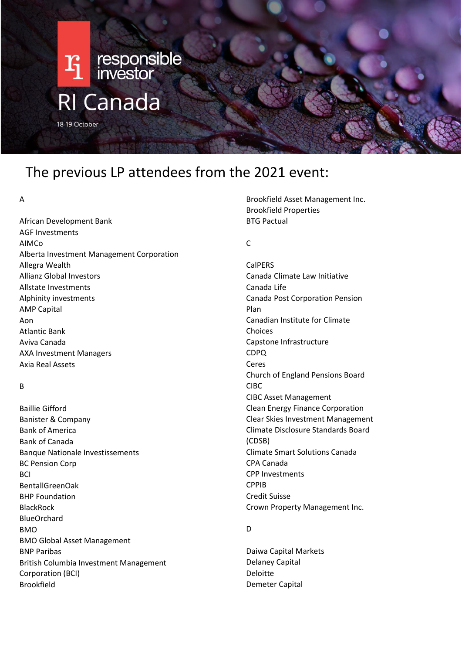

# The previous LP attendees from the 2021 event:

#### A

African Development Bank AGF Investments AIMCo Alberta Investment Management Corporation Allegra Wealth Allianz Global Investors Allstate Investments Alphinity investments AMP Capital Aon Atlantic Bank Aviva Canada AXA Investment Managers Axia Real Assets

# B

Baillie Gifford Banister & Company Bank of America Bank of Canada Banque Nationale Investissements BC Pension Corp **BCI** BentallGreenOak BHP Foundation BlackRock BlueOrchard BMO BMO Global Asset Management BNP Paribas British Columbia Investment Management Corporation (BCI) Brookfield

Brookfield Asset Management Inc. Brookfield Properties BTG Pactual

#### $\mathsf{C}$

**CalPERS** Canada Climate Law Initiative Canada Life Canada Post Corporation Pension Plan Canadian Institute for Climate Choices Capstone Infrastructure CDPQ Ceres Church of England Pensions Board CIBC CIBC Asset Management Clean Energy Finance Corporation Clear Skies Investment Management Climate Disclosure Standards Board (CDSB) Climate Smart Solutions Canada CPA Canada CPP Investments CPPIB Credit Suisse Crown Property Management Inc.

#### D

Daiwa Capital Markets Delaney Capital Deloitte Demeter Capital